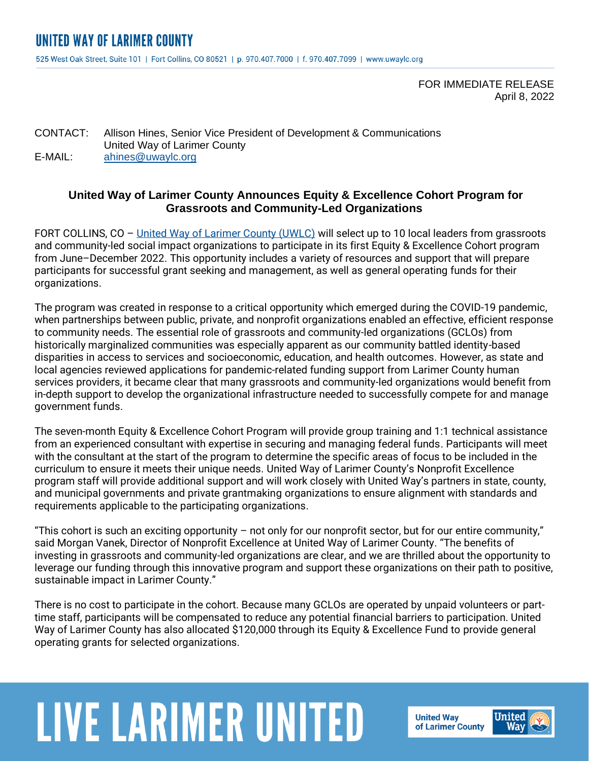FOR IMMEDIATE RELEASE April 8, 2022

CONTACT: Allison Hines, Senior Vice President of Development & Communications United Way of Larimer County E-MAIL: [ahines@uwaylc.org](mailto:ahines@uwaylc.org)

### **United Way of Larimer County Announces Equity & Excellence Cohort Program for Grassroots and Community-Led Organizations**

FORT COLLINS, CO – [United Way of Larimer County \(UWLC\)](https://uwaylc.org/) will select up to 10 local leaders from grassroots and community-led social impact organizations to participate in its first Equity & Excellence Cohort program from June–December 2022. This opportunity includes a variety of resources and support that will prepare participants for successful grant seeking and management, as well as general operating funds for their organizations.

The program was created in response to a critical opportunity which emerged during the COVID-19 pandemic, when partnerships between public, private, and nonprofit organizations enabled an effective, efficient response to community needs. The essential role of grassroots and community-led organizations (GCLOs) from historically marginalized communities was especially apparent as our community battled identity-based disparities in access to services and socioeconomic, education, and health outcomes. However, as state and local agencies reviewed applications for pandemic-related funding support from Larimer County human services providers, it became clear that many grassroots and community-led organizations would benefit from in-depth support to develop the organizational infrastructure needed to successfully compete for and manage government funds.

The seven-month Equity & Excellence Cohort Program will provide group training and 1:1 technical assistance from an experienced consultant with expertise in securing and managing federal funds. Participants will meet with the consultant at the start of the program to determine the specific areas of focus to be included in the curriculum to ensure it meets their unique needs. United Way of Larimer County's Nonprofit Excellence program staff will provide additional support and will work closely with United Way's partners in state, county, and municipal governments and private grantmaking organizations to ensure alignment with standards and requirements applicable to the participating organizations.

"This cohort is such an exciting opportunity – not only for our nonprofit sector, but for our entire community," said Morgan Vanek, Director of Nonprofit Excellence at United Way of Larimer County. "The benefits of investing in grassroots and community-led organizations are clear, and we are thrilled about the opportunity to leverage our funding through this innovative program and support these organizations on their path to positive, sustainable impact in Larimer County."

There is no cost to participate in the cohort. Because many GCLOs are operated by unpaid volunteers or parttime staff, participants will be compensated to reduce any potential financial barriers to participation. United Way of Larimer County has also allocated \$120,000 through its Equity & Excellence Fund to provide general operating grants for selected organizations.

# **LIVE LARIMER UNITED**

**United Way** of Larimer County